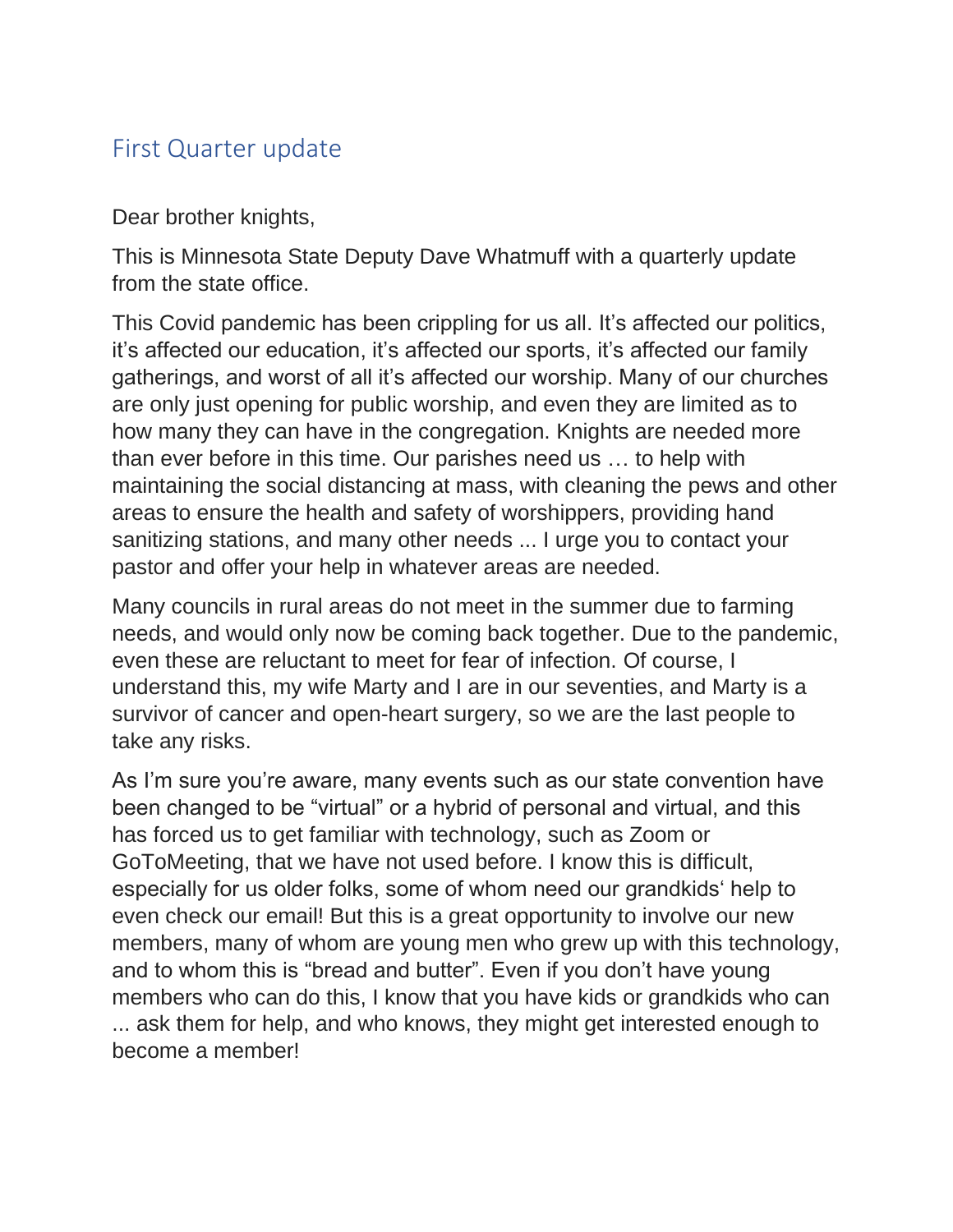## First Quarter update

Dear brother knights,

This is Minnesota State Deputy Dave Whatmuff with a quarterly update from the state office.

This Covid pandemic has been crippling for us all. It's affected our politics, it's affected our education, it's affected our sports, it's affected our family gatherings, and worst of all it's affected our worship. Many of our churches are only just opening for public worship, and even they are limited as to how many they can have in the congregation. Knights are needed more than ever before in this time. Our parishes need us … to help with maintaining the social distancing at mass, with cleaning the pews and other areas to ensure the health and safety of worshippers, providing hand sanitizing stations, and many other needs ... I urge you to contact your pastor and offer your help in whatever areas are needed.

Many councils in rural areas do not meet in the summer due to farming needs, and would only now be coming back together. Due to the pandemic, even these are reluctant to meet for fear of infection. Of course, I understand this, my wife Marty and I are in our seventies, and Marty is a survivor of cancer and open-heart surgery, so we are the last people to take any risks.

As I'm sure you're aware, many events such as our state convention have been changed to be "virtual" or a hybrid of personal and virtual, and this has forced us to get familiar with technology, such as Zoom or GoToMeeting, that we have not used before. I know this is difficult, especially for us older folks, some of whom need our grandkids' help to even check our email! But this is a great opportunity to involve our new members, many of whom are young men who grew up with this technology, and to whom this is "bread and butter". Even if you don't have young members who can do this, I know that you have kids or grandkids who can ... ask them for help, and who knows, they might get interested enough to become a member!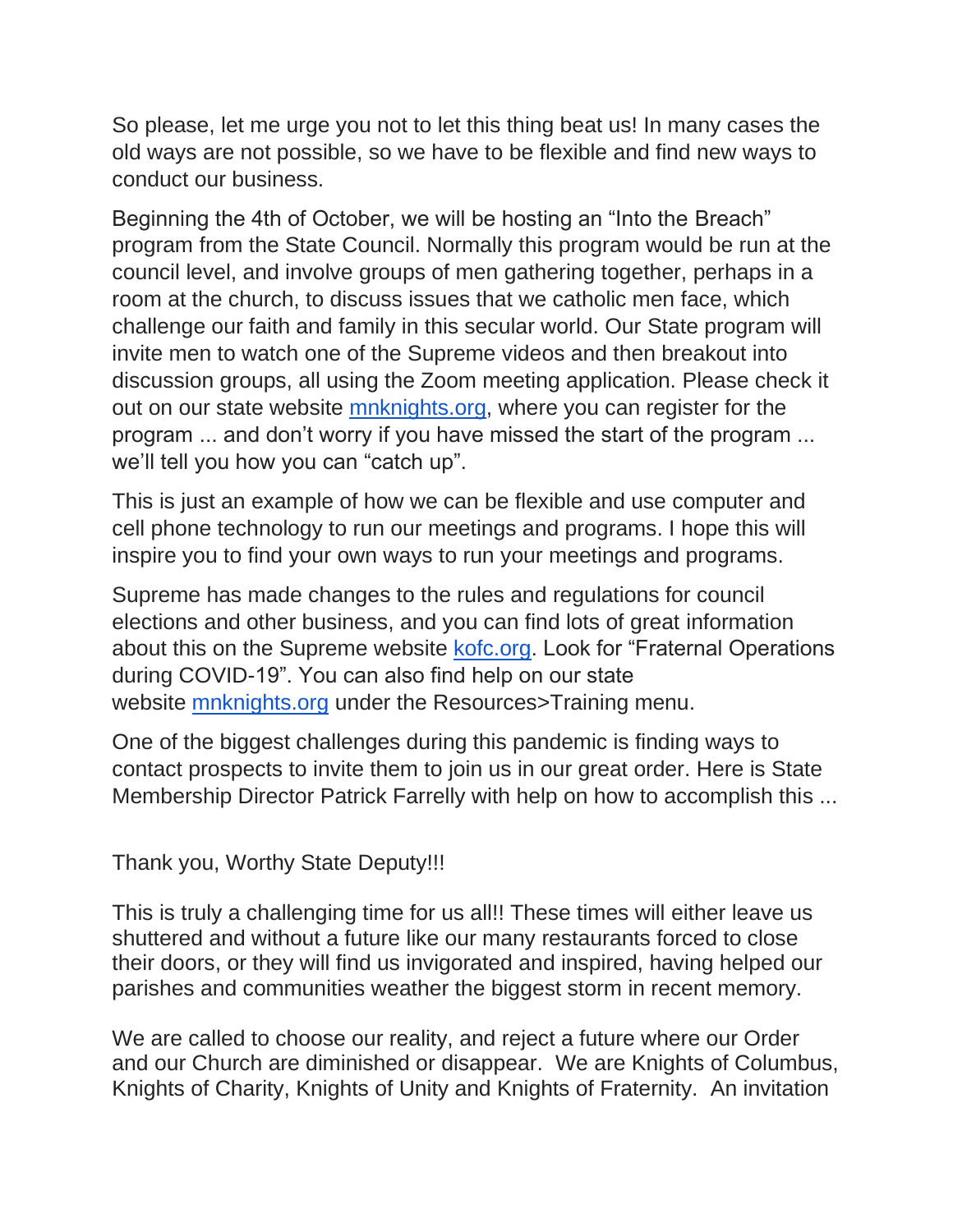So please, let me urge you not to let this thing beat us! In many cases the old ways are not possible, so we have to be flexible and find new ways to conduct our business.

Beginning the 4th of October, we will be hosting an "Into the Breach" program from the State Council. Normally this program would be run at the council level, and involve groups of men gathering together, perhaps in a room at the church, to discuss issues that we catholic men face, which challenge our faith and family in this secular world. Our State program will invite men to watch one of the Supreme videos and then breakout into discussion groups, all using the Zoom meeting application. Please check it out on our state website [mnknights.org,](http://mnknights.org/) where you can register for the program ... and don't worry if you have missed the start of the program ... we'll tell you how you can "catch up".

This is just an example of how we can be flexible and use computer and cell phone technology to run our meetings and programs. I hope this will inspire you to find your own ways to run your meetings and programs.

Supreme has made changes to the rules and regulations for council elections and other business, and you can find lots of great information about this on the Supreme website [kofc.org.](http://kofc.org/) Look for "Fraternal Operations during COVID-19". You can also find help on our state website [mnknights.org](http://mnknights.org/) under the Resources>Training menu.

One of the biggest challenges during this pandemic is finding ways to contact prospects to invite them to join us in our great order. Here is State Membership Director Patrick Farrelly with help on how to accomplish this ...

Thank you, Worthy State Deputy!!!

This is truly a challenging time for us all!! These times will either leave us shuttered and without a future like our many restaurants forced to close their doors, or they will find us invigorated and inspired, having helped our parishes and communities weather the biggest storm in recent memory.

We are called to choose our reality, and reject a future where our Order and our Church are diminished or disappear. We are Knights of Columbus, Knights of Charity, Knights of Unity and Knights of Fraternity. An invitation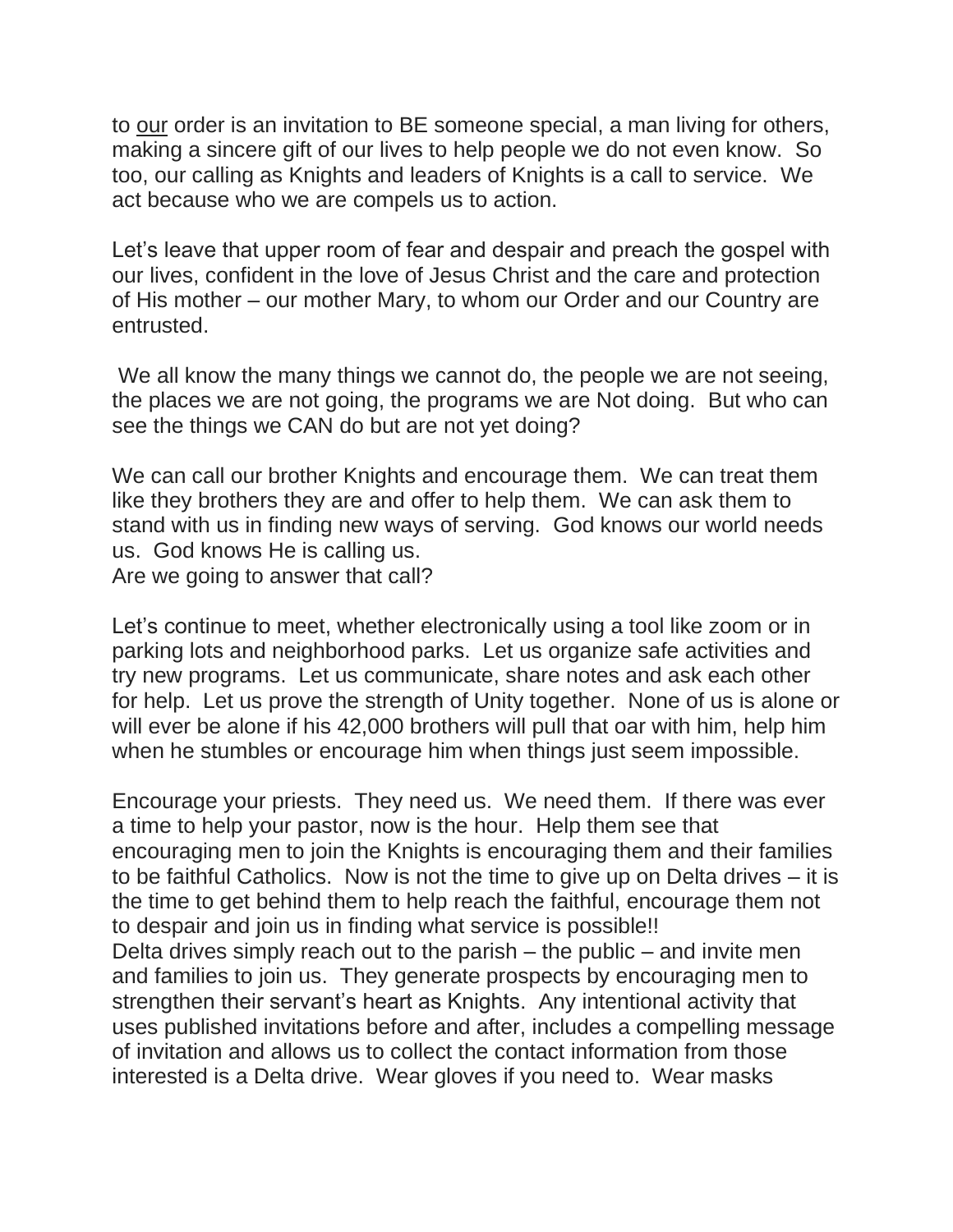to our order is an invitation to BE someone special, a man living for others, making a sincere gift of our lives to help people we do not even know. So too, our calling as Knights and leaders of Knights is a call to service. We act because who we are compels us to action.

Let's leave that upper room of fear and despair and preach the gospel with our lives, confident in the love of Jesus Christ and the care and protection of His mother – our mother Mary, to whom our Order and our Country are entrusted.

We all know the many things we cannot do, the people we are not seeing, the places we are not going, the programs we are Not doing. But who can see the things we CAN do but are not yet doing?

We can call our brother Knights and encourage them. We can treat them like they brothers they are and offer to help them. We can ask them to stand with us in finding new ways of serving. God knows our world needs us. God knows He is calling us. Are we going to answer that call?

Let's continue to meet, whether electronically using a tool like zoom or in parking lots and neighborhood parks. Let us organize safe activities and try new programs. Let us communicate, share notes and ask each other for help. Let us prove the strength of Unity together. None of us is alone or will ever be alone if his 42,000 brothers will pull that oar with him, help him when he stumbles or encourage him when things just seem impossible.

Encourage your priests. They need us. We need them. If there was ever a time to help your pastor, now is the hour. Help them see that encouraging men to join the Knights is encouraging them and their families to be faithful Catholics. Now is not the time to give up on Delta drives – it is the time to get behind them to help reach the faithful, encourage them not to despair and join us in finding what service is possible!! Delta drives simply reach out to the parish – the public – and invite men and families to join us. They generate prospects by encouraging men to strengthen their servant's heart as Knights. Any intentional activity that uses published invitations before and after, includes a compelling message of invitation and allows us to collect the contact information from those interested is a Delta drive. Wear gloves if you need to. Wear masks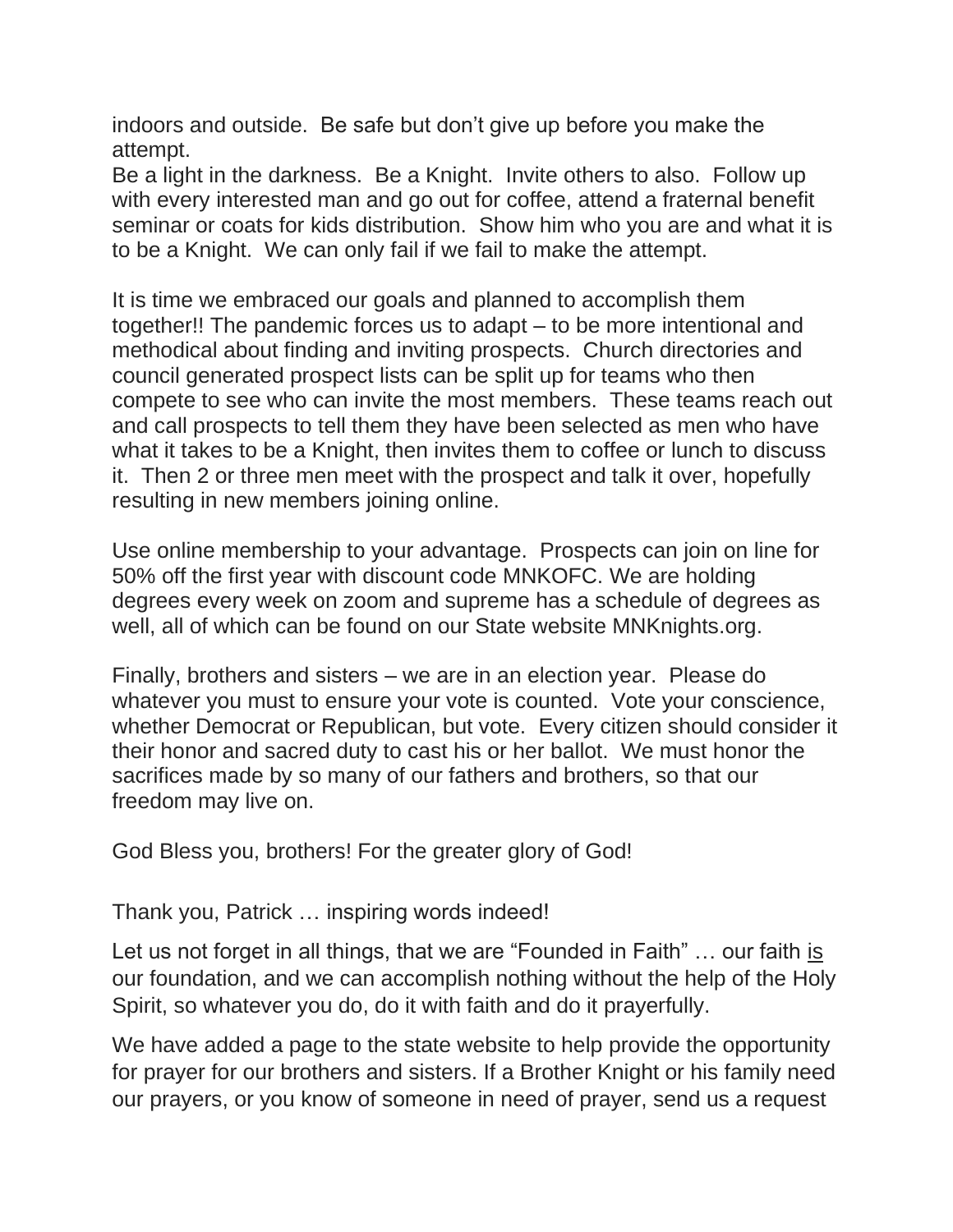indoors and outside. Be safe but don't give up before you make the attempt.

Be a light in the darkness. Be a Knight. Invite others to also. Follow up with every interested man and go out for coffee, attend a fraternal benefit seminar or coats for kids distribution. Show him who you are and what it is to be a Knight. We can only fail if we fail to make the attempt.

It is time we embraced our goals and planned to accomplish them together!! The pandemic forces us to adapt – to be more intentional and methodical about finding and inviting prospects. Church directories and council generated prospect lists can be split up for teams who then compete to see who can invite the most members. These teams reach out and call prospects to tell them they have been selected as men who have what it takes to be a Knight, then invites them to coffee or lunch to discuss it. Then 2 or three men meet with the prospect and talk it over, hopefully resulting in new members joining online.

Use online membership to your advantage. Prospects can join on line for 50% off the first year with discount code MNKOFC. We are holding degrees every week on zoom and supreme has a schedule of degrees as well, all of which can be found on our State website MNKnights.org.

Finally, brothers and sisters – we are in an election year. Please do whatever you must to ensure your vote is counted. Vote your conscience, whether Democrat or Republican, but vote. Every citizen should consider it their honor and sacred duty to cast his or her ballot. We must honor the sacrifices made by so many of our fathers and brothers, so that our freedom may live on.

God Bless you, brothers! For the greater glory of God!

## Thank you, Patrick … inspiring words indeed!

Let us not forget in all things, that we are "Founded in Faith" … our faith is our foundation, and we can accomplish nothing without the help of the Holy Spirit, so whatever you do, do it with faith and do it prayerfully.

We have added a page to the state website to help provide the opportunity for prayer for our brothers and sisters. If a Brother Knight or his family need our prayers, or you know of someone in need of prayer, send us a request